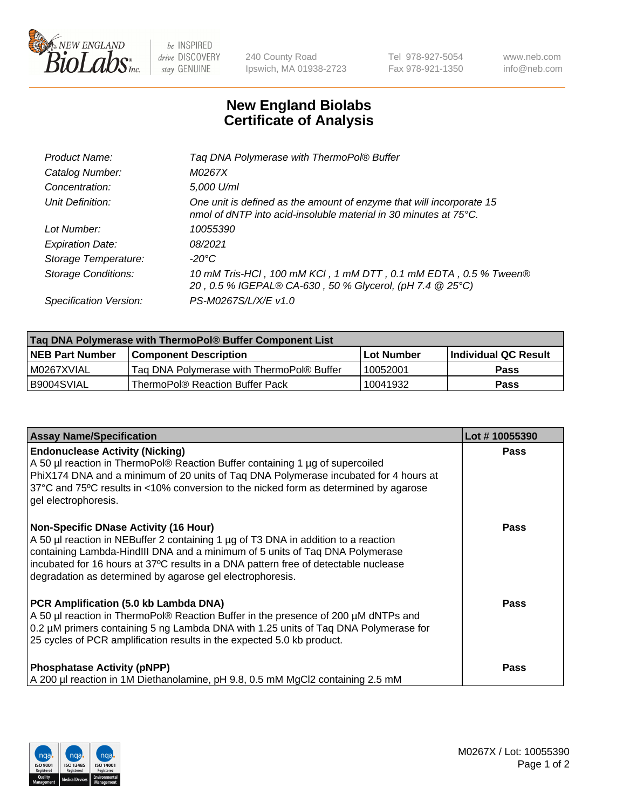

 $be$  INSPIRED drive DISCOVERY stay GENUINE

240 County Road Ipswich, MA 01938-2723 Tel 978-927-5054 Fax 978-921-1350 www.neb.com info@neb.com

## **New England Biolabs Certificate of Analysis**

| Product Name:              | Tag DNA Polymerase with ThermoPol® Buffer                                                                                                |
|----------------------------|------------------------------------------------------------------------------------------------------------------------------------------|
| Catalog Number:            | M0267X                                                                                                                                   |
| Concentration:             | 5,000 U/ml                                                                                                                               |
| Unit Definition:           | One unit is defined as the amount of enzyme that will incorporate 15<br>nmol of dNTP into acid-insoluble material in 30 minutes at 75°C. |
| Lot Number:                | 10055390                                                                                                                                 |
| <b>Expiration Date:</b>    | 08/2021                                                                                                                                  |
| Storage Temperature:       | $-20^{\circ}$ C                                                                                                                          |
| <b>Storage Conditions:</b> | 10 mM Tris-HCl, 100 mM KCl, 1 mM DTT, 0.1 mM EDTA, 0.5 % Tween®<br>20, 0.5 % IGEPAL® CA-630, 50 % Glycerol, (pH 7.4 @ 25°C)              |
| Specification Version:     | PS-M0267S/L/X/E v1.0                                                                                                                     |
|                            |                                                                                                                                          |

| Tag DNA Polymerase with ThermoPol® Buffer Component List |                                           |                   |                      |  |
|----------------------------------------------------------|-------------------------------------------|-------------------|----------------------|--|
| <b>NEB Part Number</b>                                   | <b>Component Description</b>              | <b>Lot Number</b> | Individual QC Result |  |
| I M0267XVIAL                                             | Tag DNA Polymerase with ThermoPol® Buffer | 10052001          | Pass                 |  |
| B9004SVIAL                                               | ThermoPol® Reaction Buffer Pack           | 10041932          | Pass                 |  |

| <b>Assay Name/Specification</b>                                                                                                                                                                                                                                                                                                                                        | Lot #10055390 |
|------------------------------------------------------------------------------------------------------------------------------------------------------------------------------------------------------------------------------------------------------------------------------------------------------------------------------------------------------------------------|---------------|
| <b>Endonuclease Activity (Nicking)</b><br>A 50 µl reaction in ThermoPol® Reaction Buffer containing 1 µg of supercoiled<br>PhiX174 DNA and a minimum of 20 units of Taq DNA Polymerase incubated for 4 hours at<br>37°C and 75°C results in <10% conversion to the nicked form as determined by agarose<br>gel electrophoresis.                                        | <b>Pass</b>   |
| <b>Non-Specific DNase Activity (16 Hour)</b><br>A 50 µl reaction in NEBuffer 2 containing 1 µg of T3 DNA in addition to a reaction<br>containing Lambda-HindIII DNA and a minimum of 5 units of Taq DNA Polymerase<br>incubated for 16 hours at 37°C results in a DNA pattern free of detectable nuclease<br>degradation as determined by agarose gel electrophoresis. | <b>Pass</b>   |
| PCR Amplification (5.0 kb Lambda DNA)<br>A 50 µl reaction in ThermoPol® Reaction Buffer in the presence of 200 µM dNTPs and<br>0.2 µM primers containing 5 ng Lambda DNA with 1.25 units of Taq DNA Polymerase for<br>25 cycles of PCR amplification results in the expected 5.0 kb product.                                                                           | Pass          |
| <b>Phosphatase Activity (pNPP)</b><br>A 200 µl reaction in 1M Diethanolamine, pH 9.8, 0.5 mM MgCl2 containing 2.5 mM                                                                                                                                                                                                                                                   | <b>Pass</b>   |